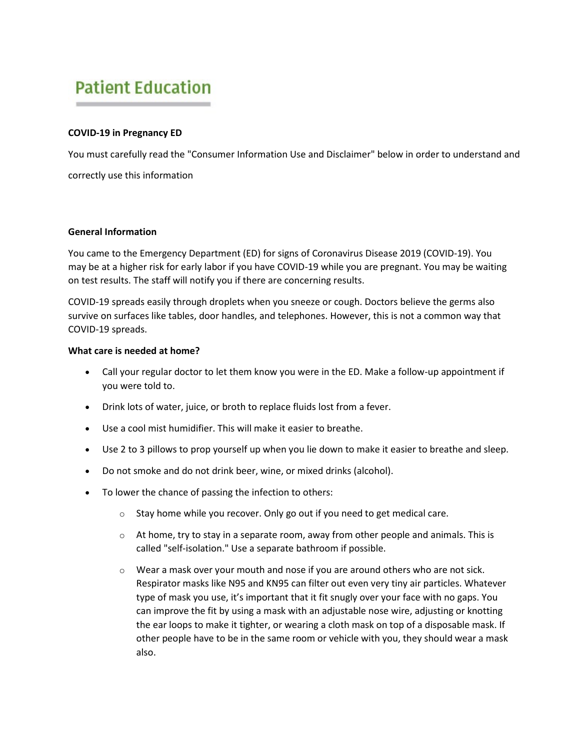# **Patient Education**

## **COVID-19 in Pregnancy ED**

You must carefully read the "Consumer Information Use and Disclaimer" below in order to understand and correctly use this information

## **General Information**

You came to the Emergency Department (ED) for signs of Coronavirus Disease 2019 (COVID-19). You may be at a higher risk for early labor if you have COVID-19 while you are pregnant. You may be waiting on test results. The staff will notify you if there are concerning results.

COVID-19 spreads easily through droplets when you sneeze or cough. Doctors believe the germs also survive on surfaces like tables, door handles, and telephones. However, this is not a common way that COVID-19 spreads.

## **What care is needed at home?**

- Call your regular doctor to let them know you were in the ED. Make a follow-up appointment if you were told to.
- Drink lots of water, juice, or broth to replace fluids lost from a fever.
- Use a cool mist humidifier. This will make it easier to breathe.
- Use 2 to 3 pillows to prop yourself up when you lie down to make it easier to breathe and sleep.
- Do not smoke and do not drink beer, wine, or mixed drinks (alcohol).
- To lower the chance of passing the infection to others:
	- $\circ$  Stay home while you recover. Only go out if you need to get medical care.
	- $\circ$  At home, try to stay in a separate room, away from other people and animals. This is called "self-isolation." Use a separate bathroom if possible.
	- $\circ$  Wear a mask over your mouth and nose if you are around others who are not sick. Respirator masks like N95 and KN95 can filter out even very tiny air particles. Whatever type of mask you use, it's important that it fit snugly over your face with no gaps. You can improve the fit by using a mask with an adjustable nose wire, adjusting or knotting the ear loops to make it tighter, or wearing a cloth mask on top of a disposable mask. If other people have to be in the same room or vehicle with you, they should wear a mask also.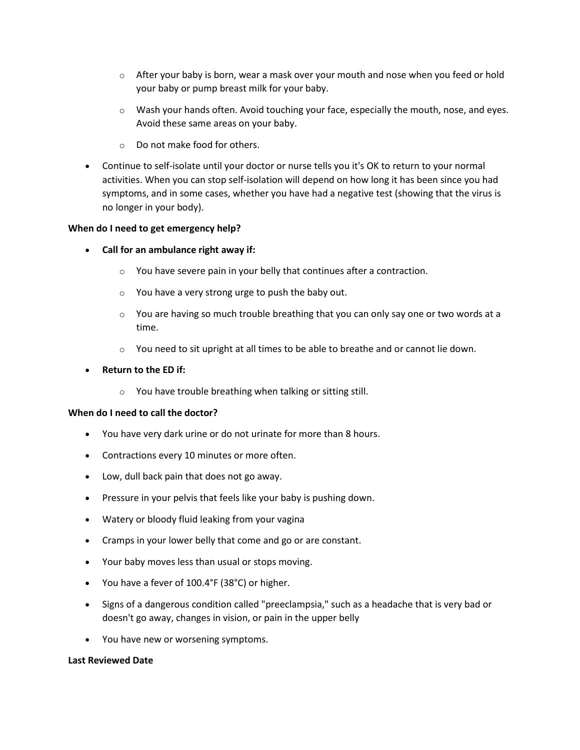- $\circ$  After your baby is born, wear a mask over your mouth and nose when you feed or hold your baby or pump breast milk for your baby.
- o Wash your hands often. Avoid touching your face, especially the mouth, nose, and eyes. Avoid these same areas on your baby.
- o Do not make food for others.
- Continue to self-isolate until your doctor or nurse tells you it's OK to return to your normal activities. When you can stop self-isolation will depend on how long it has been since you had symptoms, and in some cases, whether you have had a negative test (showing that the virus is no longer in your body).

## **When do I need to get emergency help?**

- **Call for an ambulance right away if:**
	- o You have severe pain in your belly that continues after a contraction.
	- o You have a very strong urge to push the baby out.
	- $\circ$  You are having so much trouble breathing that you can only say one or two words at a time.
	- $\circ$  You need to sit upright at all times to be able to breathe and or cannot lie down.
- **Return to the ED if:**
	- o You have trouble breathing when talking or sitting still.

## **When do I need to call the doctor?**

- You have very dark urine or do not urinate for more than 8 hours.
- Contractions every 10 minutes or more often.
- Low, dull back pain that does not go away.
- Pressure in your pelvis that feels like your baby is pushing down.
- Watery or bloody fluid leaking from your vagina
- Cramps in your lower belly that come and go or are constant.
- Your baby moves less than usual or stops moving.
- You have a fever of 100.4°F (38°C) or higher.
- Signs of a dangerous condition called "preeclampsia," such as a headache that is very bad or doesn't go away, changes in vision, or pain in the upper belly
- You have new or worsening symptoms.

#### **Last Reviewed Date**